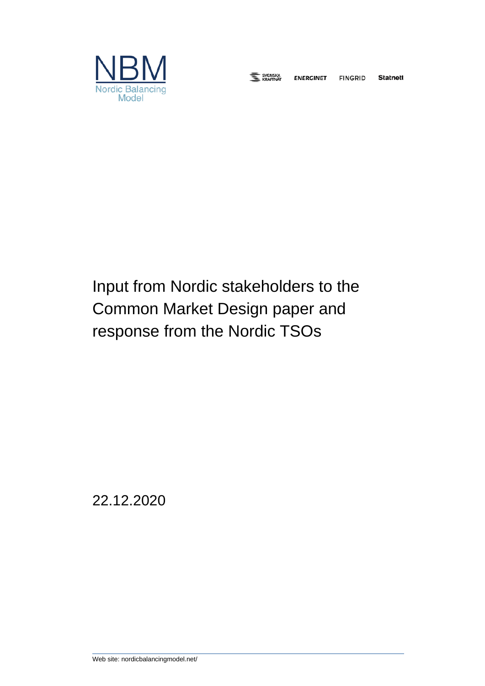

E SVENSKA

**ENERGINET** 

**Statnett FINGRID** 

# Input from Nordic stakeholders to the Common Market Design paper and response from the Nordic TSOs

22.12.2020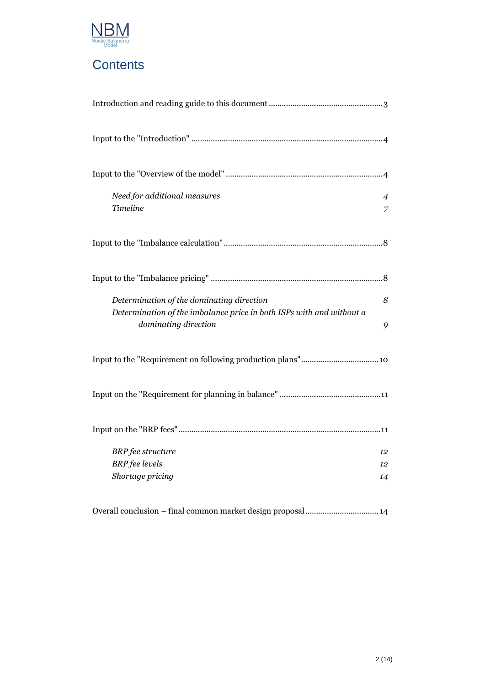

### **Contents**

| Need for additional measures<br>$\overline{4}$<br><b>Timeline</b><br>$\overline{z}$                                                                 |
|-----------------------------------------------------------------------------------------------------------------------------------------------------|
|                                                                                                                                                     |
|                                                                                                                                                     |
| Determination of the dominating direction<br>8<br>Determination of the imbalance price in both ISPs with and without a<br>dominating direction<br>9 |
|                                                                                                                                                     |
|                                                                                                                                                     |
|                                                                                                                                                     |
| <b>BRP</b> fee structure<br>12                                                                                                                      |
| <b>BRP</b> fee levels<br>12                                                                                                                         |
| Shortage pricing<br>14                                                                                                                              |
| Overall conclusion - final common market design proposal 14                                                                                         |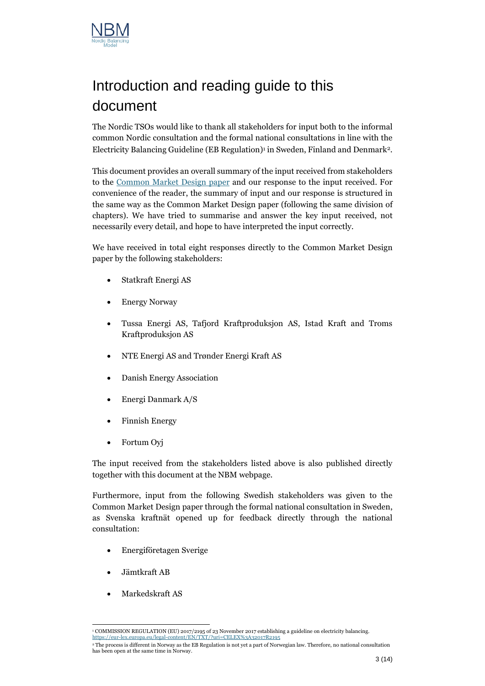

# <span id="page-2-0"></span>Introduction and reading guide to this document

The Nordic TSOs would like to thank all stakeholders for input both to the informal common Nordic consultation and the formal national consultations in line with the Electricity Balancing Guideline (EB Regulation) 1 in Sweden, Finland and Denmark<sup>2</sup> .

This document provides an overall summary of the input received from stakeholders to the [Common Market Design](https://nordicbalancingmodel.net/single-price-single-position-publication-of-common-nordic-market-design-document-feedback-welcomed/) paper and our response to the input received. For convenience of the reader, the summary of input and our response is structured in the same way as the Common Market Design paper (following the same division of chapters). We have tried to summarise and answer the key input received, not necessarily every detail, and hope to have interpreted the input correctly.

We have received in total eight responses directly to the Common Market Design paper by the following stakeholders:

- Statkraft Energi AS
- Energy Norway
- Tussa Energi AS, Tafjord Kraftproduksjon AS, Istad Kraft and Troms Kraftproduksjon AS
- NTE Energi AS and Trønder Energi Kraft AS
- Danish Energy Association
- Energi Danmark A/S
- Finnish Energy
- Fortum Oyj

The input received from the stakeholders listed above is also published directly together with this document at the NBM webpage.

Furthermore, input from the following Swedish stakeholders was given to the Common Market Design paper through the formal national consultation in Sweden, as Svenska kraftnät opened up for feedback directly through the national consultation:

- Energiföretagen Sverige
- Jämtkraft AB
- Markedskraft AS

<sup>1</sup> COMMISSION REGULATION (EU) 2017/2195 of 23 November 2017 establishing a guideline on electricity balancing. <https://eur-lex.europa.eu/legal-content/EN/TXT/?uri=CELEX%3A32017R2195>

<sup>2</sup> The process is different in Norway as the EB Regulation is not yet a part of Norwegian law. Therefore, no national consultation has been open at the same time in Norway.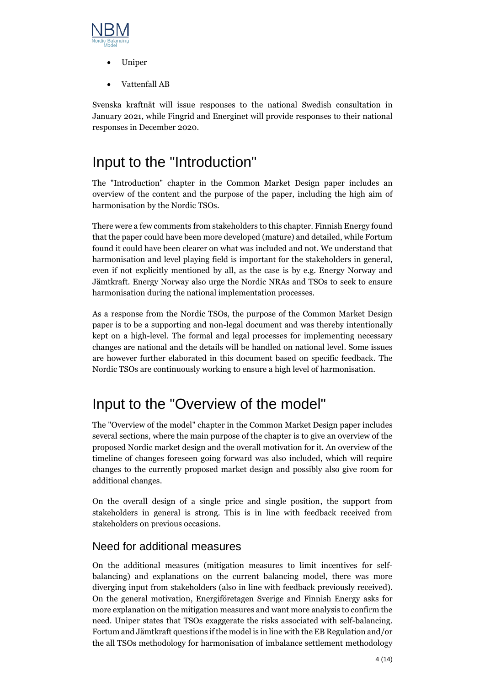

- Uniper
- Vattenfall AB

Svenska kraftnät will issue responses to the national Swedish consultation in January 2021, while Fingrid and Energinet will provide responses to their national responses in December 2020.

## <span id="page-3-0"></span>Input to the "Introduction"

The "Introduction" chapter in the Common Market Design paper includes an overview of the content and the purpose of the paper, including the high aim of harmonisation by the Nordic TSOs.

There were a few comments from stakeholders to this chapter. Finnish Energy found that the paper could have been more developed (mature) and detailed, while Fortum found it could have been clearer on what was included and not. We understand that harmonisation and level playing field is important for the stakeholders in general, even if not explicitly mentioned by all, as the case is by e.g. Energy Norway and Jämtkraft. Energy Norway also urge the Nordic NRAs and TSOs to seek to ensure harmonisation during the national implementation processes.

As a response from the Nordic TSOs, the purpose of the Common Market Design paper is to be a supporting and non-legal document and was thereby intentionally kept on a high-level. The formal and legal processes for implementing necessary changes are national and the details will be handled on national level. Some issues are however further elaborated in this document based on specific feedback. The Nordic TSOs are continuously working to ensure a high level of harmonisation.

### <span id="page-3-1"></span>Input to the "Overview of the model"

The "Overview of the model" chapter in the Common Market Design paper includes several sections, where the main purpose of the chapter is to give an overview of the proposed Nordic market design and the overall motivation for it. An overview of the timeline of changes foreseen going forward was also included, which will require changes to the currently proposed market design and possibly also give room for additional changes.

On the overall design of a single price and single position, the support from stakeholders in general is strong. This is in line with feedback received from stakeholders on previous occasions.

#### <span id="page-3-2"></span>Need for additional measures

On the additional measures (mitigation measures to limit incentives for selfbalancing) and explanations on the current balancing model, there was more diverging input from stakeholders (also in line with feedback previously received). On the general motivation, Energiföretagen Sverige and Finnish Energy asks for more explanation on the mitigation measures and want more analysis to confirm the need. Uniper states that TSOs exaggerate the risks associated with self-balancing. Fortum and Jämtkraft questions if the model is in line with the EB Regulation and/or the all TSOs methodology for harmonisation of imbalance settlement methodology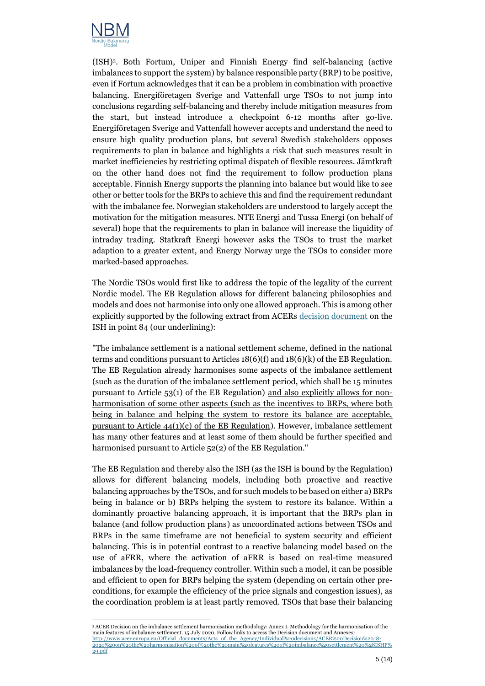

(ISH) <sup>3</sup>. Both Fortum, Uniper and Finnish Energy find self-balancing (active imbalances to support the system) by balance responsible party (BRP) to be positive, even if Fortum acknowledges that it can be a problem in combination with proactive balancing. Energiföretagen Sverige and Vattenfall urge TSOs to not jump into conclusions regarding self-balancing and thereby include mitigation measures from the start, but instead introduce a checkpoint 6-12 months after go-live. Energiföretagen Sverige and Vattenfall however accepts and understand the need to ensure high quality production plans, but several Swedish stakeholders opposes requirements to plan in balance and highlights a risk that such measures result in market inefficiencies by restricting optimal dispatch of flexible resources. Jämtkraft on the other hand does not find the requirement to follow production plans acceptable. Finnish Energy supports the planning into balance but would like to see other or better tools for the BRPs to achieve this and find the requirement redundant with the imbalance fee. Norwegian stakeholders are understood to largely accept the motivation for the mitigation measures. NTE Energi and Tussa Energi (on behalf of several) hope that the requirements to plan in balance will increase the liquidity of intraday trading. Statkraft Energi however asks the TSOs to trust the market adaption to a greater extent, and Energy Norway urge the TSOs to consider more marked-based approaches.

The Nordic TSOs would first like to address the topic of the legality of the current Nordic model. The EB Regulation allows for different balancing philosophies and models and does not harmonise into only one allowed approach. This is among other explicitly supported by the following extract from ACERs [decision document](https://www.acer.europa.eu/Official_documents/Acts_of_the_Agency/Individual%20decisions/ACER%20Decision%2018-2020%20on%20the%20harmonisation%20of%20the%20main%20features%20of%20imbalance%20settlement%20(ISHP).pdf) on the ISH in point 84 (our underlining):

"The imbalance settlement is a national settlement scheme, defined in the national terms and conditions pursuant to Articles 18(6)(f) and 18(6)(k) of the EB Regulation. The EB Regulation already harmonises some aspects of the imbalance settlement (such as the duration of the imbalance settlement period, which shall be 15 minutes pursuant to Article 53(1) of the EB Regulation) and also explicitly allows for nonharmonisation of some other aspects (such as the incentives to BRPs, where both being in balance and helping the system to restore its balance are acceptable, pursuant to Article  $44(1)(c)$  of the EB Regulation). However, imbalance settlement has many other features and at least some of them should be further specified and harmonised pursuant to Article 52(2) of the EB Regulation."

The EB Regulation and thereby also the ISH (as the ISH is bound by the Regulation) allows for different balancing models, including both proactive and reactive balancing approaches by the TSOs, and for such models to be based on either a) BRPs being in balance or b) BRPs helping the system to restore its balance. Within a dominantly proactive balancing approach, it is important that the BRPs plan in balance (and follow production plans) as uncoordinated actions between TSOs and BRPs in the same timeframe are not beneficial to system security and efficient balancing. This is in potential contrast to a reactive balancing model based on the use of aFRR, where the activation of aFRR is based on real-time measured imbalances by the load-frequency controller. Within such a model, it can be possible and efficient to open for BRPs helping the system (depending on certain other preconditions, for example the efficiency of the price signals and congestion issues), as the coordination problem is at least partly removed. TSOs that base their balancing

<sup>3</sup> ACER Decision on the imbalance settlement harmonisation methodology: Annex I. Methodology for the harmonisation of the main features of imbalance settlement. 15 July 2020. Follow links to access the Decision document and Annexes: [http://www.acer.europa.eu/Official\\_documents/Acts\\_of\\_the\\_Agency/Individual%20decisions/ACER%20Decision%2018-](http://www.acer.europa.eu/Official_documents/Acts_of_the_Agency/Individual%20decisions/ACER%20Decision%2018-2020%20on%20the%20harmonisation%20of%20the%20main%20features%20of%20imbalance%20settlement%20%28ISHP%29.pdf) [2020%20on%20the%20harmonisation%20of%20the%20main%20features%20of%20imbalance%20settlement%20%28ISHP%](http://www.acer.europa.eu/Official_documents/Acts_of_the_Agency/Individual%20decisions/ACER%20Decision%2018-2020%20on%20the%20harmonisation%20of%20the%20main%20features%20of%20imbalance%20settlement%20%28ISHP%29.pdf) [29.pdf](http://www.acer.europa.eu/Official_documents/Acts_of_the_Agency/Individual%20decisions/ACER%20Decision%2018-2020%20on%20the%20harmonisation%20of%20the%20main%20features%20of%20imbalance%20settlement%20%28ISHP%29.pdf)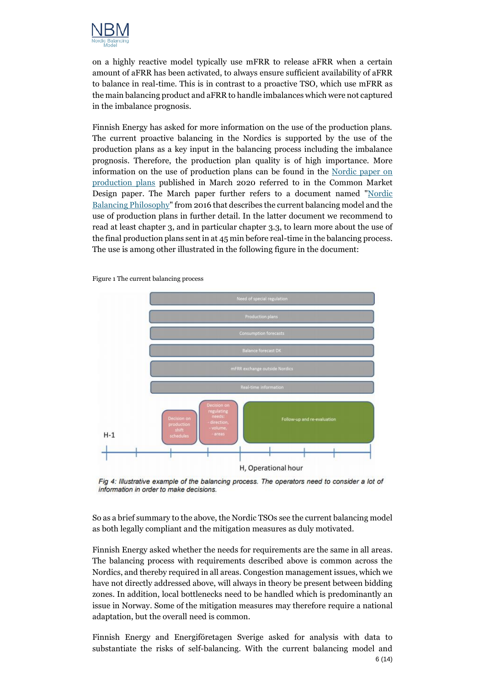

on a highly reactive model typically use mFRR to release aFRR when a certain amount of aFRR has been activated, to always ensure sufficient availability of aFRR to balance in real-time. This is in contrast to a proactive TSO, which use mFRR as the main balancing product and aFRR to handle imbalances which were not captured in the imbalance prognosis.

Finnish Energy has asked for more information on the use of the production plans. The current proactive balancing in the Nordics is supported by the use of the production plans as a key input in the balancing process including the imbalance prognosis. Therefore, the production plan quality is of high importance. More information on the use of production plans can be found in the [Nordic paper on](https://nordicbalancingmodel.net/paper-on-the-use-of-production-plans-related-to-single-price-single-position/)  [production plans](https://nordicbalancingmodel.net/paper-on-the-use-of-production-plans-related-to-single-price-single-position/) published in March 2020 referred to in the Common Market Design paper. The March paper further refers to a document named ["Nordic](https://eepublicdownloads.entsoe.eu/clean-documents/Publications/SOC/Nordic/Nordic_Balancing_Philosophy_160616_Final_external.pdf)  [Balancing Philosophy"](https://eepublicdownloads.entsoe.eu/clean-documents/Publications/SOC/Nordic/Nordic_Balancing_Philosophy_160616_Final_external.pdf) from 2016 that describes the current balancing model and the use of production plans in further detail. In the latter document we recommend to read at least chapter 3, and in particular chapter 3.3, to learn more about the use of the final production plans sent in at 45 min before real-time in the balancing process. The use is among other illustrated in the following figure in the document:



Figure 1 The current balancing process

Fig 4: Illustrative example of the balancing process. The operators need to consider a lot of information in order to make decisions.

So as a brief summary to the above, the Nordic TSOs see the current balancing model as both legally compliant and the mitigation measures as duly motivated.

Finnish Energy asked whether the needs for requirements are the same in all areas. The balancing process with requirements described above is common across the Nordics, and thereby required in all areas. Congestion management issues, which we have not directly addressed above, will always in theory be present between bidding zones. In addition, local bottlenecks need to be handled which is predominantly an issue in Norway. Some of the mitigation measures may therefore require a national adaptation, but the overall need is common.

6 (14) Finnish Energy and Energiföretagen Sverige asked for analysis with data to substantiate the risks of self-balancing. With the current balancing model and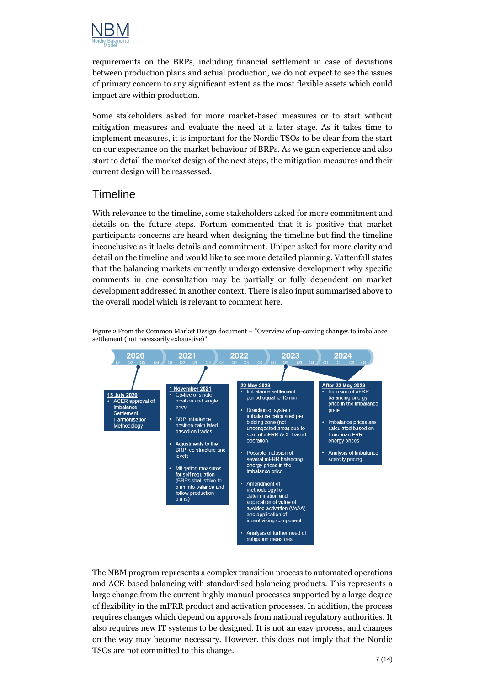

requirements on the BRPs, including financial settlement in case of deviations between production plans and actual production, we do not expect to see the issues of primary concern to any significant extent as the most flexible assets which could impact are within production.

Some stakeholders asked for more market-based measures or to start without mitigation measures and evaluate the need at a later stage. As it takes time to implement measures, it is important for the Nordic TSOs to be clear from the start on our expectance on the market behaviour of BRPs. As we gain experience and also start to detail the market design of the next steps, the mitigation measures and their current design will be reassessed.

#### <span id="page-6-0"></span>**Timeline**

With relevance to the timeline, some stakeholders asked for more commitment and details on the future steps. Fortum commented that it is positive that market participants concerns are heard when designing the timeline but find the timeline inconclusive as it lacks details and commitment. Uniper asked for more clarity and detail on the timeline and would like to see more detailed planning. Vattenfall states that the balancing markets currently undergo extensive development why specific comments in one consultation may be partially or fully dependent on market development addressed in another context. There is also input summarised above to the overall model which is relevant to comment here.



Figure 2 From the Common Market Design document – "Overview of up-coming changes to imbalance settlement (not necessarily exhaustive)

The NBM program represents a complex transition process to automated operations and ACE-based balancing with standardised balancing products. This represents a large change from the current highly manual processes supported by a large degree of flexibility in the mFRR product and activation processes. In addition, the process requires changes which depend on approvals from national regulatory authorities. It also requires new IT systems to be designed. It is not an easy process, and changes on the way may become necessary. However, this does not imply that the Nordic TSOs are not committed to this change.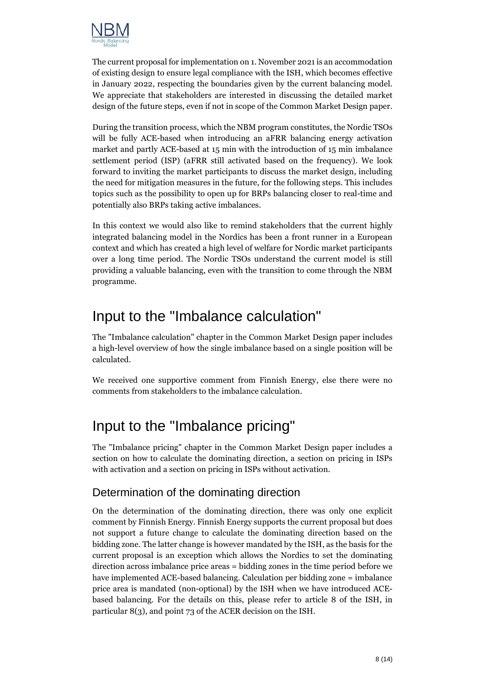

The current proposal for implementation on 1. November 2021 is an accommodation of existing design to ensure legal compliance with the ISH, which becomes effective in January 2022, respecting the boundaries given by the current balancing model. We appreciate that stakeholders are interested in discussing the detailed market design of the future steps, even if not in scope of the Common Market Design paper.

During the transition process, which the NBM program constitutes, the Nordic TSOs will be fully ACE-based when introducing an aFRR balancing energy activation market and partly ACE-based at 15 min with the introduction of 15 min imbalance settlement period (ISP) (aFRR still activated based on the frequency). We look forward to inviting the market participants to discuss the market design, including the need for mitigation measures in the future, for the following steps. This includes topics such as the possibility to open up for BRPs balancing closer to real-time and potentially also BRPs taking active imbalances.

In this context we would also like to remind stakeholders that the current highly integrated balancing model in the Nordics has been a front runner in a European context and which has created a high level of welfare for Nordic market participants over a long time period. The Nordic TSOs understand the current model is still providing a valuable balancing, even with the transition to come through the NBM programme.

### <span id="page-7-0"></span>Input to the "Imbalance calculation"

The "Imbalance calculation" chapter in the Common Market Design paper includes a high-level overview of how the single imbalance based on a single position will be calculated.

We received one supportive comment from Finnish Energy, else there were no comments from stakeholders to the imbalance calculation.

## <span id="page-7-1"></span>Input to the "Imbalance pricing"

The "Imbalance pricing" chapter in the Common Market Design paper includes a section on how to calculate the dominating direction, a section on pricing in ISPs with activation and a section on pricing in ISPs without activation.

#### <span id="page-7-2"></span>Determination of the dominating direction

On the determination of the dominating direction, there was only one explicit comment by Finnish Energy. Finnish Energy supports the current proposal but does not support a future change to calculate the dominating direction based on the bidding zone. The latter change is however mandated by the ISH, as the basis for the current proposal is an exception which allows the Nordics to set the dominating direction across imbalance price areas = bidding zones in the time period before we have implemented ACE-based balancing. Calculation per bidding zone = imbalance price area is mandated (non-optional) by the ISH when we have introduced ACEbased balancing. For the details on this, please refer to article 8 of the ISH, in particular 8(3), and point 73 of the ACER decision on the ISH.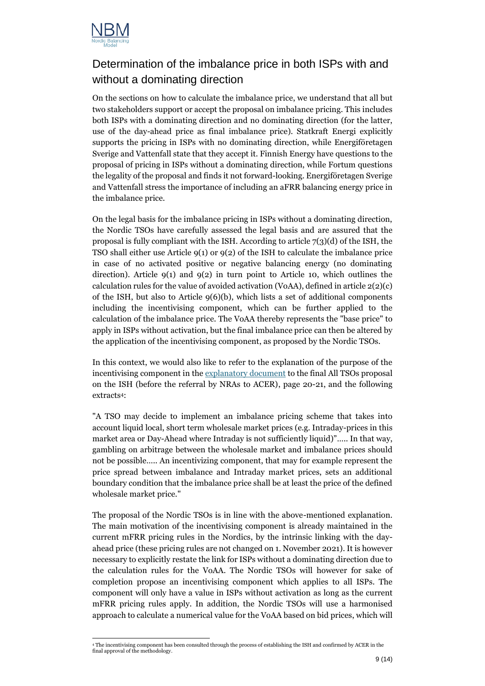

### <span id="page-8-0"></span>Determination of the imbalance price in both ISPs with and without a dominating direction

On the sections on how to calculate the imbalance price, we understand that all but two stakeholders support or accept the proposal on imbalance pricing. This includes both ISPs with a dominating direction and no dominating direction (for the latter, use of the day-ahead price as final imbalance price). Statkraft Energi explicitly supports the pricing in ISPs with no dominating direction, while Energiföretagen Sverige and Vattenfall state that they accept it. Finnish Energy have questions to the proposal of pricing in ISPs without a dominating direction, while Fortum questions the legality of the proposal and finds it not forward-looking. Energiföretagen Sverige and Vattenfall stress the importance of including an aFRR balancing energy price in the imbalance price.

On the legal basis for the imbalance pricing in ISPs without a dominating direction, the Nordic TSOs have carefully assessed the legal basis and are assured that the proposal is fully compliant with the ISH. According to article  $7(3)(d)$  of the ISH, the TSO shall either use Article  $9(1)$  or  $9(2)$  of the ISH to calculate the imbalance price in case of no activated positive or negative balancing energy (no dominating direction). Article  $9(1)$  and  $9(2)$  in turn point to Article 10, which outlines the calculation rules for the value of avoided activation (VoAA), defined in article  $2(2)(c)$ of the ISH, but also to Article  $9(6)(b)$ , which lists a set of additional components including the incentivising component, which can be further applied to the calculation of the imbalance price. The VoAA thereby represents the "base price" to apply in ISPs without activation, but the final imbalance price can then be altered by the application of the incentivising component, as proposed by the Nordic TSOs.

In this context, we would also like to refer to the explanation of the purpose of the incentivising component in the [explanatory document](https://eepublicdownloads.entsoe.eu/clean-documents/nc-tasks/EBGL/EBGL_A52.2_191030_All_TSOs_ISHP_imbalance_settlement_harmonisation_amended_explanatory_doc_for_submission.pdf) to the final All TSOs proposal on the ISH (before the referral by NRAs to ACER), page 20-21, and the following extracts4:

"A TSO may decide to implement an imbalance pricing scheme that takes into account liquid local, short term wholesale market prices (e.g. Intraday-prices in this market area or Day-Ahead where Intraday is not sufficiently liquid)"….. In that way, gambling on arbitrage between the wholesale market and imbalance prices should not be possible….. An incentivizing component, that may for example represent the price spread between imbalance and Intraday market prices, sets an additional boundary condition that the imbalance price shall be at least the price of the defined wholesale market price."

The proposal of the Nordic TSOs is in line with the above-mentioned explanation. The main motivation of the incentivising component is already maintained in the current mFRR pricing rules in the Nordics, by the intrinsic linking with the dayahead price (these pricing rules are not changed on 1. November 2021). It is however necessary to explicitly restate the link for ISPs without a dominating direction due to the calculation rules for the VoAA. The Nordic TSOs will however for sake of completion propose an incentivising component which applies to all ISPs. The component will only have a value in ISPs without activation as long as the current mFRR pricing rules apply. In addition, the Nordic TSOs will use a harmonised approach to calculate a numerical value for the VoAA based on bid prices, which will

<sup>4</sup> The incentivising component has been consulted through the process of establishing the ISH and confirmed by ACER in the final approval of the methodology.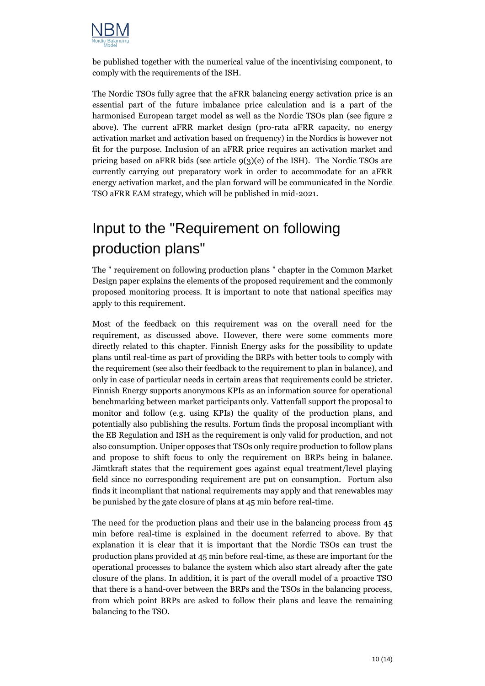

be published together with the numerical value of the incentivising component, to comply with the requirements of the ISH.

The Nordic TSOs fully agree that the aFRR balancing energy activation price is an essential part of the future imbalance price calculation and is a part of the harmonised European target model as well as the Nordic TSOs plan (see figure 2 above). The current aFRR market design (pro-rata aFRR capacity, no energy activation market and activation based on frequency) in the Nordics is however not fit for the purpose. Inclusion of an aFRR price requires an activation market and pricing based on aFRR bids (see article  $9(3)(e)$  of the ISH). The Nordic TSOs are currently carrying out preparatory work in order to accommodate for an aFRR energy activation market, and the plan forward will be communicated in the Nordic TSO aFRR EAM strategy, which will be published in mid-2021.

# <span id="page-9-0"></span>Input to the "Requirement on following production plans"

The " requirement on following production plans " chapter in the Common Market Design paper explains the elements of the proposed requirement and the commonly proposed monitoring process. It is important to note that national specifics may apply to this requirement.

Most of the feedback on this requirement was on the overall need for the requirement, as discussed above. However, there were some comments more directly related to this chapter. Finnish Energy asks for the possibility to update plans until real-time as part of providing the BRPs with better tools to comply with the requirement (see also their feedback to the requirement to plan in balance), and only in case of particular needs in certain areas that requirements could be stricter. Finnish Energy supports anonymous KPIs as an information source for operational benchmarking between market participants only. Vattenfall support the proposal to monitor and follow (e.g. using KPIs) the quality of the production plans, and potentially also publishing the results. Fortum finds the proposal incompliant with the EB Regulation and ISH as the requirement is only valid for production, and not also consumption. Uniper opposes that TSOs only require production to follow plans and propose to shift focus to only the requirement on BRPs being in balance. Jämtkraft states that the requirement goes against equal treatment/level playing field since no corresponding requirement are put on consumption. Fortum also finds it incompliant that national requirements may apply and that renewables may be punished by the gate closure of plans at 45 min before real-time.

The need for the production plans and their use in the balancing process from 45 min before real-time is explained in the document referred to above. By that explanation it is clear that it is important that the Nordic TSOs can trust the production plans provided at 45 min before real-time, as these are important for the operational processes to balance the system which also start already after the gate closure of the plans. In addition, it is part of the overall model of a proactive TSO that there is a hand-over between the BRPs and the TSOs in the balancing process, from which point BRPs are asked to follow their plans and leave the remaining balancing to the TSO.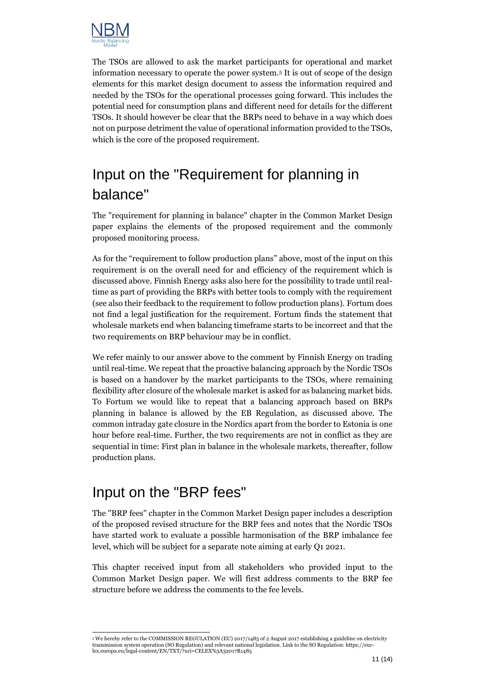

The TSOs are allowed to ask the market participants for operational and market information necessary to operate the power system.<sup>5</sup> It is out of scope of the design elements for this market design document to assess the information required and needed by the TSOs for the operational processes going forward. This includes the potential need for consumption plans and different need for details for the different TSOs. It should however be clear that the BRPs need to behave in a way which does not on purpose detriment the value of operational information provided to the TSOs, which is the core of the proposed requirement.

# <span id="page-10-0"></span>Input on the "Requirement for planning in balance"

The "requirement for planning in balance" chapter in the Common Market Design paper explains the elements of the proposed requirement and the commonly proposed monitoring process.

As for the "requirement to follow production plans" above, most of the input on this requirement is on the overall need for and efficiency of the requirement which is discussed above. Finnish Energy asks also here for the possibility to trade until realtime as part of providing the BRPs with better tools to comply with the requirement (see also their feedback to the requirement to follow production plans). Fortum does not find a legal justification for the requirement. Fortum finds the statement that wholesale markets end when balancing timeframe starts to be incorrect and that the two requirements on BRP behaviour may be in conflict.

We refer mainly to our answer above to the comment by Finnish Energy on trading until real-time. We repeat that the proactive balancing approach by the Nordic TSOs is based on a handover by the market participants to the TSOs, where remaining flexibility after closure of the wholesale market is asked for as balancing market bids. To Fortum we would like to repeat that a balancing approach based on BRPs planning in balance is allowed by the EB Regulation, as discussed above. The common intraday gate closure in the Nordics apart from the border to Estonia is one hour before real-time. Further, the two requirements are not in conflict as they are sequential in time: First plan in balance in the wholesale markets, thereafter, follow production plans.

### <span id="page-10-1"></span>Input on the "BRP fees"

The "BRP fees" chapter in the Common Market Design paper includes a description of the proposed revised structure for the BRP fees and notes that the Nordic TSOs have started work to evaluate a possible harmonisation of the BRP imbalance fee level, which will be subject for a separate note aiming at early Q1 2021.

This chapter received input from all stakeholders who provided input to the Common Market Design paper. We will first address comments to the BRP fee structure before we address the comments to the fee levels.

<sup>5</sup> We hereby refer to the COMMISSION REGULATION (EU) 2017/1485 of 2 August 2017 establishing a guideline on electricity transmission system operation (SO Regulation) and relevant national legislation. Link to the SO Regulation: https://eurlex.europa.eu/legal-content/EN/TXT/?uri=CELEX%3A32017R1485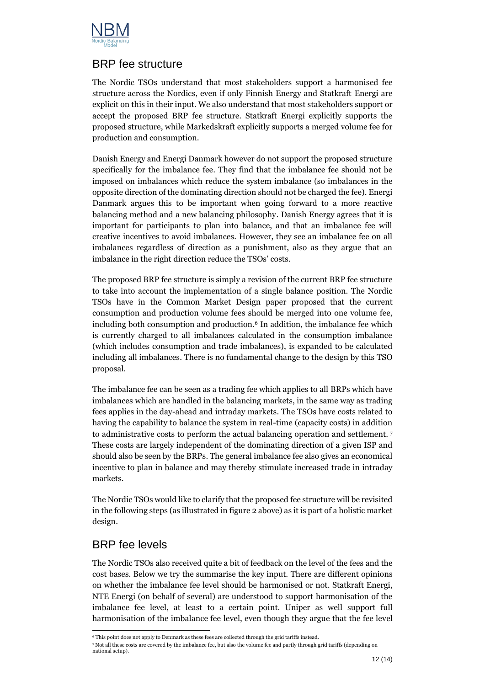

#### <span id="page-11-0"></span>BRP fee structure

The Nordic TSOs understand that most stakeholders support a harmonised fee structure across the Nordics, even if only Finnish Energy and Statkraft Energi are explicit on this in their input. We also understand that most stakeholders support or accept the proposed BRP fee structure. Statkraft Energi explicitly supports the proposed structure, while Markedskraft explicitly supports a merged volume fee for production and consumption.

Danish Energy and Energi Danmark however do not support the proposed structure specifically for the imbalance fee. They find that the imbalance fee should not be imposed on imbalances which reduce the system imbalance (so imbalances in the opposite direction of the dominating direction should not be charged the fee). Energi Danmark argues this to be important when going forward to a more reactive balancing method and a new balancing philosophy. Danish Energy agrees that it is important for participants to plan into balance, and that an imbalance fee will creative incentives to avoid imbalances. However, they see an imbalance fee on all imbalances regardless of direction as a punishment, also as they argue that an imbalance in the right direction reduce the TSOs' costs.

The proposed BRP fee structure is simply a revision of the current BRP fee structure to take into account the implementation of a single balance position. The Nordic TSOs have in the Common Market Design paper proposed that the current consumption and production volume fees should be merged into one volume fee, including both consumption and production. <sup>6</sup> In addition, the imbalance fee which is currently charged to all imbalances calculated in the consumption imbalance (which includes consumption and trade imbalances), is expanded to be calculated including all imbalances. There is no fundamental change to the design by this TSO proposal.

The imbalance fee can be seen as a trading fee which applies to all BRPs which have imbalances which are handled in the balancing markets, in the same way as trading fees applies in the day-ahead and intraday markets. The TSOs have costs related to having the capability to balance the system in real-time (capacity costs) in addition to administrative costs to perform the actual balancing operation and settlement. <sup>7</sup> These costs are largely independent of the dominating direction of a given ISP and should also be seen by the BRPs. The general imbalance fee also gives an economical incentive to plan in balance and may thereby stimulate increased trade in intraday markets.

The Nordic TSOs would like to clarify that the proposed fee structure will be revisited in the following steps (as illustrated in figure 2 above) as it is part of a holistic market design.

#### <span id="page-11-1"></span>BRP fee levels

The Nordic TSOs also received quite a bit of feedback on the level of the fees and the cost bases. Below we try the summarise the key input. There are different opinions on whether the imbalance fee level should be harmonised or not. Statkraft Energi, NTE Energi (on behalf of several) are understood to support harmonisation of the imbalance fee level, at least to a certain point. Uniper as well support full harmonisation of the imbalance fee level, even though they argue that the fee level

<sup>6</sup> This point does not apply to Denmark as these fees are collected through the grid tariffs instead.

<sup>7</sup> Not all these costs are covered by the imbalance fee, but also the volume fee and partly through grid tariffs (depending on national setup).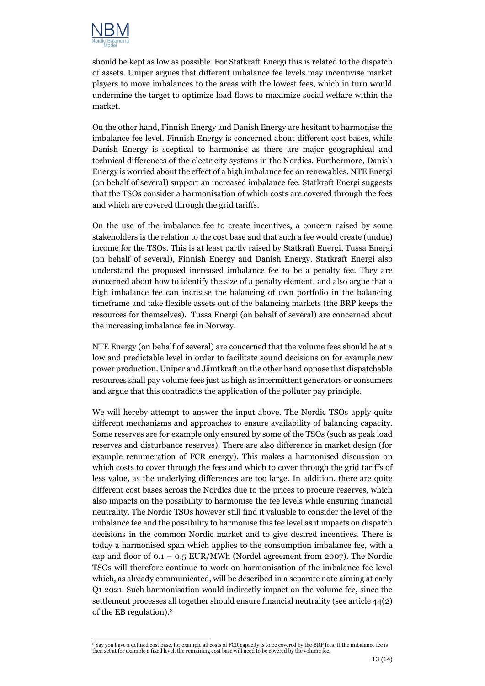

should be kept as low as possible. For Statkraft Energi this is related to the dispatch of assets. Uniper argues that different imbalance fee levels may incentivise market players to move imbalances to the areas with the lowest fees, which in turn would undermine the target to optimize load flows to maximize social welfare within the market.

On the other hand, Finnish Energy and Danish Energy are hesitant to harmonise the imbalance fee level. Finnish Energy is concerned about different cost bases, while Danish Energy is sceptical to harmonise as there are major geographical and technical differences of the electricity systems in the Nordics. Furthermore, Danish Energy is worried about the effect of a high imbalance fee on renewables. NTE Energi (on behalf of several) support an increased imbalance fee. Statkraft Energi suggests that the TSOs consider a harmonisation of which costs are covered through the fees and which are covered through the grid tariffs.

On the use of the imbalance fee to create incentives, a concern raised by some stakeholders is the relation to the cost base and that such a fee would create (undue) income for the TSOs. This is at least partly raised by Statkraft Energi, Tussa Energi (on behalf of several), Finnish Energy and Danish Energy. Statkraft Energi also understand the proposed increased imbalance fee to be a penalty fee. They are concerned about how to identify the size of a penalty element, and also argue that a high imbalance fee can increase the balancing of own portfolio in the balancing timeframe and take flexible assets out of the balancing markets (the BRP keeps the resources for themselves). Tussa Energi (on behalf of several) are concerned about the increasing imbalance fee in Norway.

NTE Energy (on behalf of several) are concerned that the volume fees should be at a low and predictable level in order to facilitate sound decisions on for example new power production. Uniper and Jämtkraft on the other hand oppose that dispatchable resources shall pay volume fees just as high as intermittent generators or consumers and argue that this contradicts the application of the polluter pay principle.

We will hereby attempt to answer the input above. The Nordic TSOs apply quite different mechanisms and approaches to ensure availability of balancing capacity. Some reserves are for example only ensured by some of the TSOs (such as peak load reserves and disturbance reserves). There are also difference in market design (for example renumeration of FCR energy). This makes a harmonised discussion on which costs to cover through the fees and which to cover through the grid tariffs of less value, as the underlying differences are too large. In addition, there are quite different cost bases across the Nordics due to the prices to procure reserves, which also impacts on the possibility to harmonise the fee levels while ensuring financial neutrality. The Nordic TSOs however still find it valuable to consider the level of the imbalance fee and the possibility to harmonise this fee level as it impacts on dispatch decisions in the common Nordic market and to give desired incentives. There is today a harmonised span which applies to the consumption imbalance fee, with a cap and floor of  $0.1 - 0.5$  EUR/MWh (Nordel agreement from 2007). The Nordic TSOs will therefore continue to work on harmonisation of the imbalance fee level which, as already communicated, will be described in a separate note aiming at early Q1 2021. Such harmonisation would indirectly impact on the volume fee, since the settlement processes all together should ensure financial neutrality (see article 44(2) of the EB regulation). 8

<sup>8</sup> Say you have a defined cost base, for example all costs of FCR capacity is to be covered by the BRP fees. If the imbalance fee is then set at for example a fixed level, the remaining cost base will need to be covered by the volume fee.